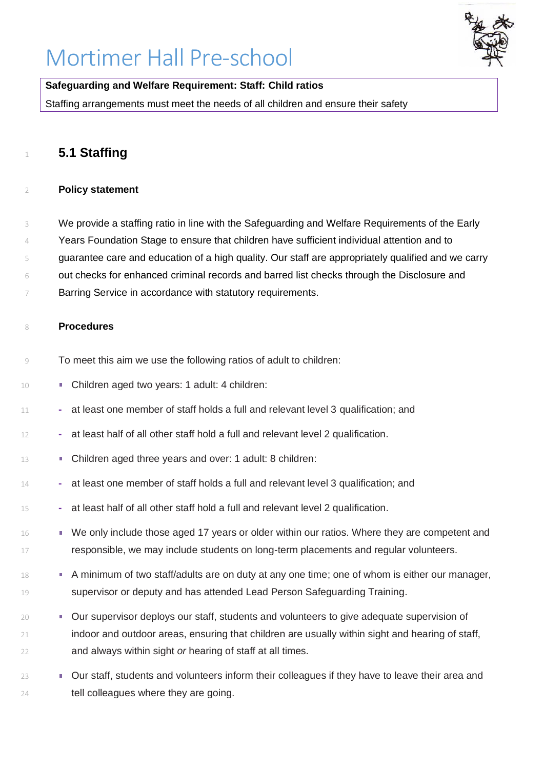# Mortimer Hall Pre-school



### **Safeguarding and Welfare Requirement: Staff: Child ratios**

Staffing arrangements must meet the needs of all children and ensure their safety

## **5.1 Staffing**

#### **Policy statement**

- We provide a staffing ratio in line with the Safeguarding and Welfare Requirements of the Early
- Years Foundation Stage to ensure that children have sufficient individual attention and to
- guarantee care and education of a high quality. Our staff are appropriately qualified and we carry
- out checks for enhanced criminal records and barred list checks through the Disclosure and
- 7 Barring Service in accordance with statutory requirements.

#### **Procedures**

- To meet this aim we use the following ratios of adult to children:
- **Children aged two years: 1 adult: 4 children:**
- **-** at least one member of staff holds a full and relevant level 3 qualification; and
- **-** at least half of all other staff hold a full and relevant level 2 qualification.
- Children aged three years and over: 1 adult: 8 children:
- **-** at least one member of staff holds a full and relevant level 3 qualification; and
- **-** at least half of all other staff hold a full and relevant level 2 qualification.
- 16 We only include those aged 17 years or older within our ratios. Where they are competent and 17 responsible, we may include students on long-term placements and regular volunteers.
- 18 A minimum of two staff/adults are on duty at any one time; one of whom is either our manager, **Supervisor or deputy and has attended Lead Person Safeguarding Training.**
- **OUR** Our supervisor deploys our staff, students and volunteers to give adequate supervision of 21 indoor and outdoor areas, ensuring that children are usually within sight and hearing of staff, and always within sight *or* hearing of staff at all times.
- **Our staff, students and volunteers inform their colleagues if they have to leave their area and** tell colleagues where they are going.